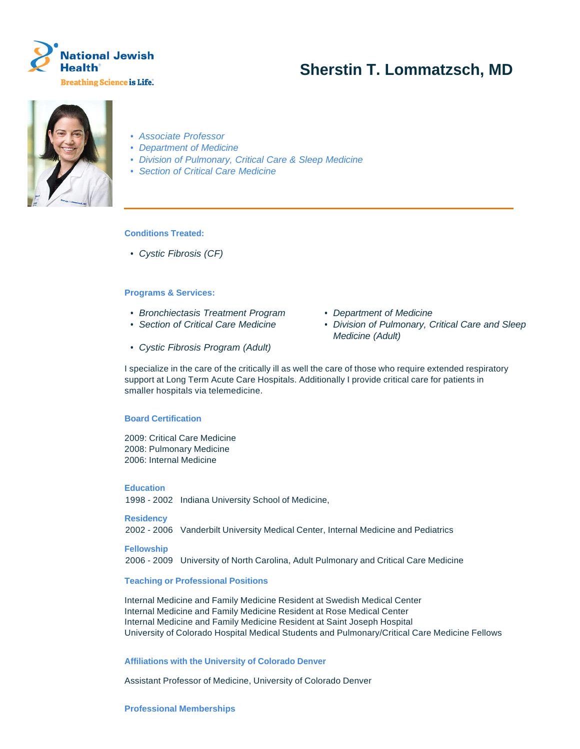

# **Sherstin T. Lommatzsch, MD**



- Associate Professor
- Department of Medicine
- Division of Pulmonary, Critical Care & Sleep Medicine
- Section of Critical Care Medicine

# **Conditions Treated:**

• Cystic Fibrosis (CF)

## **Programs & Services:**

- Bronchiectasis Treatment Program Department of Medicine
- 
- Cystic Fibrosis Program (Adult)
- 
- Section of Critical Care Medicine Division of Pulmonary, Critical Care and Sleep Medicine (Adult)

I specialize in the care of the critically ill as well the care of those who require extended respiratory support at Long Term Acute Care Hospitals. Additionally I provide critical care for patients in smaller hospitals via telemedicine.

#### **Board Certification**

2009: Critical Care Medicine 2008: Pulmonary Medicine 2006: Internal Medicine

## **Education**

1998 - 2002 Indiana University School of Medicine,

#### **Residency**

2002 - 2006 Vanderbilt University Medical Center, Internal Medicine and Pediatrics

#### **Fellowship**

2006 - 2009 University of North Carolina, Adult Pulmonary and Critical Care Medicine

#### **Teaching or Professional Positions**

Internal Medicine and Family Medicine Resident at Swedish Medical Center Internal Medicine and Family Medicine Resident at Rose Medical Center Internal Medicine and Family Medicine Resident at Saint Joseph Hospital University of Colorado Hospital Medical Students and Pulmonary/Critical Care Medicine Fellows

#### **Affiliations with the University of Colorado Denver**

Assistant Professor of Medicine, University of Colorado Denver

#### **Professional Memberships**